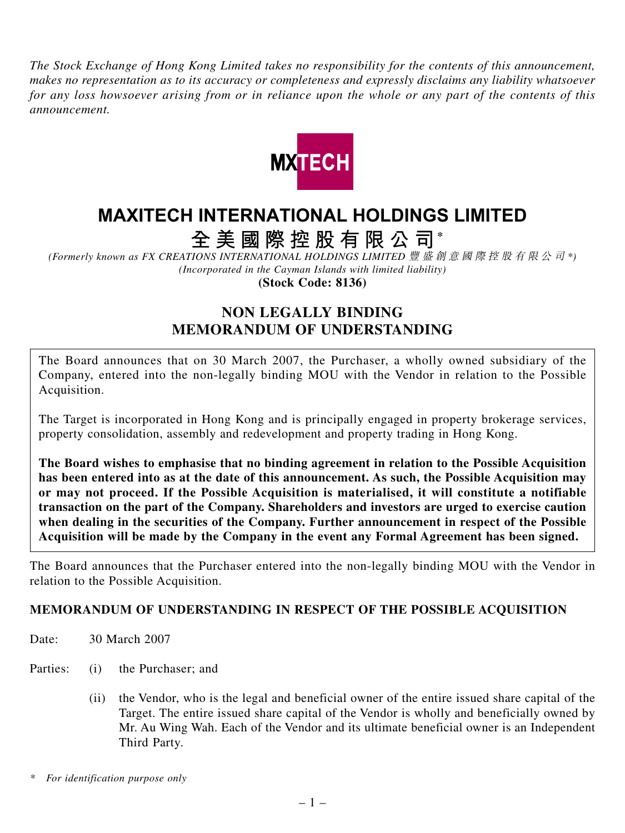*The Stock Exchange of Hong Kong Limited takes no responsibility for the contents of this announcement, makes no representation as to its accuracy or completeness and expressly disclaims any liability whatsoever for any loss howsoever arising from or in reliance upon the whole or any part of the contents of this announcement.*



# **MAXITECH INTERNATIONAL HOLDINGS LIMITED**

**全美國際控股有限公司 \***

*(Formerly known as FX CREATIONS INTERNATIONAL HOLDINGS LIMITED* 豐盛創意國際控股有限公司 *\*) (Incorporated in the Cayman Islands with limited liability)*

**(Stock Code: 8136)**

## **NON LEGALLY BINDING MEMORANDUM OF UNDERSTANDING**

The Board announces that on 30 March 2007, the Purchaser, a wholly owned subsidiary of the Company, entered into the non-legally binding MOU with the Vendor in relation to the Possible Acquisition.

The Target is incorporated in Hong Kong and is principally engaged in property brokerage services, property consolidation, assembly and redevelopment and property trading in Hong Kong.

**The Board wishes to emphasise that no binding agreement in relation to the Possible Acquisition has been entered into as at the date of this announcement. As such, the Possible Acquisition may or may not proceed. If the Possible Acquisition is materialised, it will constitute a notifiable transaction on the part of the Company. Shareholders and investors are urged to exercise caution when dealing in the securities of the Company. Further announcement in respect of the Possible Acquisition will be made by the Company in the event any Formal Agreement has been signed.**

The Board announces that the Purchaser entered into the non-legally binding MOU with the Vendor in relation to the Possible Acquisition.

### **MEMORANDUM OF UNDERSTANDING IN RESPECT OF THE POSSIBLE ACQUISITION**

- Date: 30 March 2007
- Parties: (i) the Purchaser; and
	- (ii) the Vendor, who is the legal and beneficial owner of the entire issued share capital of the Target. The entire issued share capital of the Vendor is wholly and beneficially owned by Mr. Au Wing Wah. Each of the Vendor and its ultimate beneficial owner is an Independent Third Party.
- *\* For identification purpose only*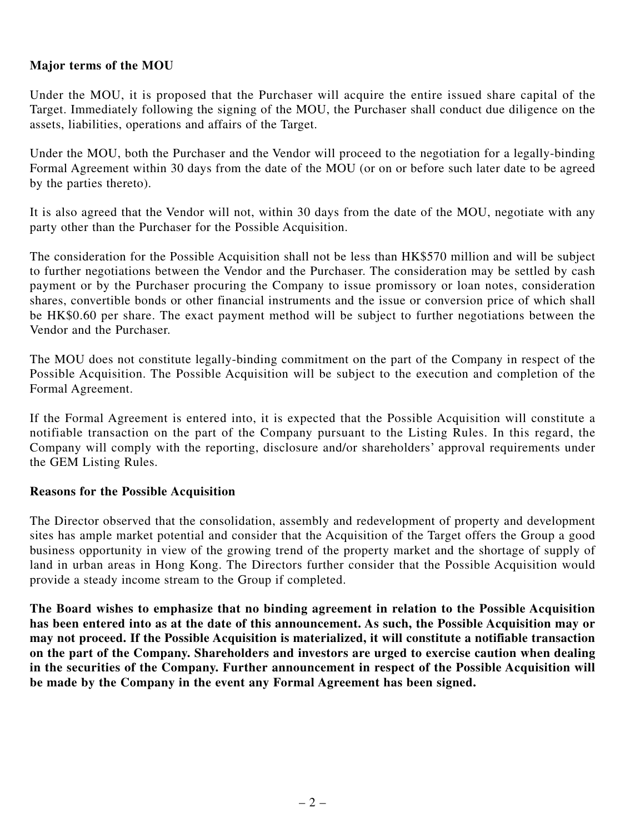#### **Major terms of the MOU**

Under the MOU, it is proposed that the Purchaser will acquire the entire issued share capital of the Target. Immediately following the signing of the MOU, the Purchaser shall conduct due diligence on the assets, liabilities, operations and affairs of the Target.

Under the MOU, both the Purchaser and the Vendor will proceed to the negotiation for a legally-binding Formal Agreement within 30 days from the date of the MOU (or on or before such later date to be agreed by the parties thereto).

It is also agreed that the Vendor will not, within 30 days from the date of the MOU, negotiate with any party other than the Purchaser for the Possible Acquisition.

The consideration for the Possible Acquisition shall not be less than HK\$570 million and will be subject to further negotiations between the Vendor and the Purchaser. The consideration may be settled by cash payment or by the Purchaser procuring the Company to issue promissory or loan notes, consideration shares, convertible bonds or other financial instruments and the issue or conversion price of which shall be HK\$0.60 per share. The exact payment method will be subject to further negotiations between the Vendor and the Purchaser.

The MOU does not constitute legally-binding commitment on the part of the Company in respect of the Possible Acquisition. The Possible Acquisition will be subject to the execution and completion of the Formal Agreement.

If the Formal Agreement is entered into, it is expected that the Possible Acquisition will constitute a notifiable transaction on the part of the Company pursuant to the Listing Rules. In this regard, the Company will comply with the reporting, disclosure and/or shareholders' approval requirements under the GEM Listing Rules.

#### **Reasons for the Possible Acquisition**

The Director observed that the consolidation, assembly and redevelopment of property and development sites has ample market potential and consider that the Acquisition of the Target offers the Group a good business opportunity in view of the growing trend of the property market and the shortage of supply of land in urban areas in Hong Kong. The Directors further consider that the Possible Acquisition would provide a steady income stream to the Group if completed.

**The Board wishes to emphasize that no binding agreement in relation to the Possible Acquisition has been entered into as at the date of this announcement. As such, the Possible Acquisition may or may not proceed. If the Possible Acquisition is materialized, it will constitute a notifiable transaction on the part of the Company. Shareholders and investors are urged to exercise caution when dealing in the securities of the Company. Further announcement in respect of the Possible Acquisition will be made by the Company in the event any Formal Agreement has been signed.**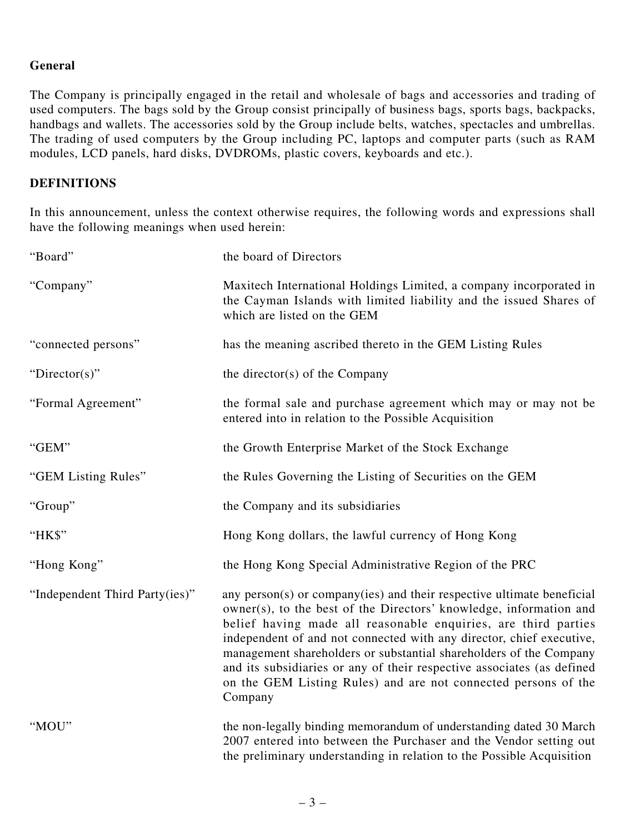#### **General**

The Company is principally engaged in the retail and wholesale of bags and accessories and trading of used computers. The bags sold by the Group consist principally of business bags, sports bags, backpacks, handbags and wallets. The accessories sold by the Group include belts, watches, spectacles and umbrellas. The trading of used computers by the Group including PC, laptops and computer parts (such as RAM modules, LCD panels, hard disks, DVDROMs, plastic covers, keyboards and etc.).

#### **DEFINITIONS**

In this announcement, unless the context otherwise requires, the following words and expressions shall have the following meanings when used herein:

| "Board"                        | the board of Directors                                                                                                                                                                                                                                                                                                                                                                                                                                                                                              |
|--------------------------------|---------------------------------------------------------------------------------------------------------------------------------------------------------------------------------------------------------------------------------------------------------------------------------------------------------------------------------------------------------------------------------------------------------------------------------------------------------------------------------------------------------------------|
| "Company"                      | Maxitech International Holdings Limited, a company incorporated in<br>the Cayman Islands with limited liability and the issued Shares of<br>which are listed on the GEM                                                                                                                                                                                                                                                                                                                                             |
| "connected persons"            | has the meaning ascribed thereto in the GEM Listing Rules                                                                                                                                                                                                                                                                                                                                                                                                                                                           |
| "Director(s)"                  | the director(s) of the Company                                                                                                                                                                                                                                                                                                                                                                                                                                                                                      |
| "Formal Agreement"             | the formal sale and purchase agreement which may or may not be<br>entered into in relation to the Possible Acquisition                                                                                                                                                                                                                                                                                                                                                                                              |
| "GEM"                          | the Growth Enterprise Market of the Stock Exchange                                                                                                                                                                                                                                                                                                                                                                                                                                                                  |
| "GEM Listing Rules"            | the Rules Governing the Listing of Securities on the GEM                                                                                                                                                                                                                                                                                                                                                                                                                                                            |
| "Group"                        | the Company and its subsidiaries                                                                                                                                                                                                                                                                                                                                                                                                                                                                                    |
| "HK\$"                         | Hong Kong dollars, the lawful currency of Hong Kong                                                                                                                                                                                                                                                                                                                                                                                                                                                                 |
| "Hong Kong"                    | the Hong Kong Special Administrative Region of the PRC                                                                                                                                                                                                                                                                                                                                                                                                                                                              |
| "Independent Third Party(ies)" | any person(s) or company(ies) and their respective ultimate beneficial<br>owner(s), to the best of the Directors' knowledge, information and<br>belief having made all reasonable enquiries, are third parties<br>independent of and not connected with any director, chief executive,<br>management shareholders or substantial shareholders of the Company<br>and its subsidiaries or any of their respective associates (as defined<br>on the GEM Listing Rules) and are not connected persons of the<br>Company |
| "MOU"                          | the non-legally binding memorandum of understanding dated 30 March<br>2007 entered into between the Purchaser and the Vendor setting out<br>the preliminary understanding in relation to the Possible Acquisition                                                                                                                                                                                                                                                                                                   |